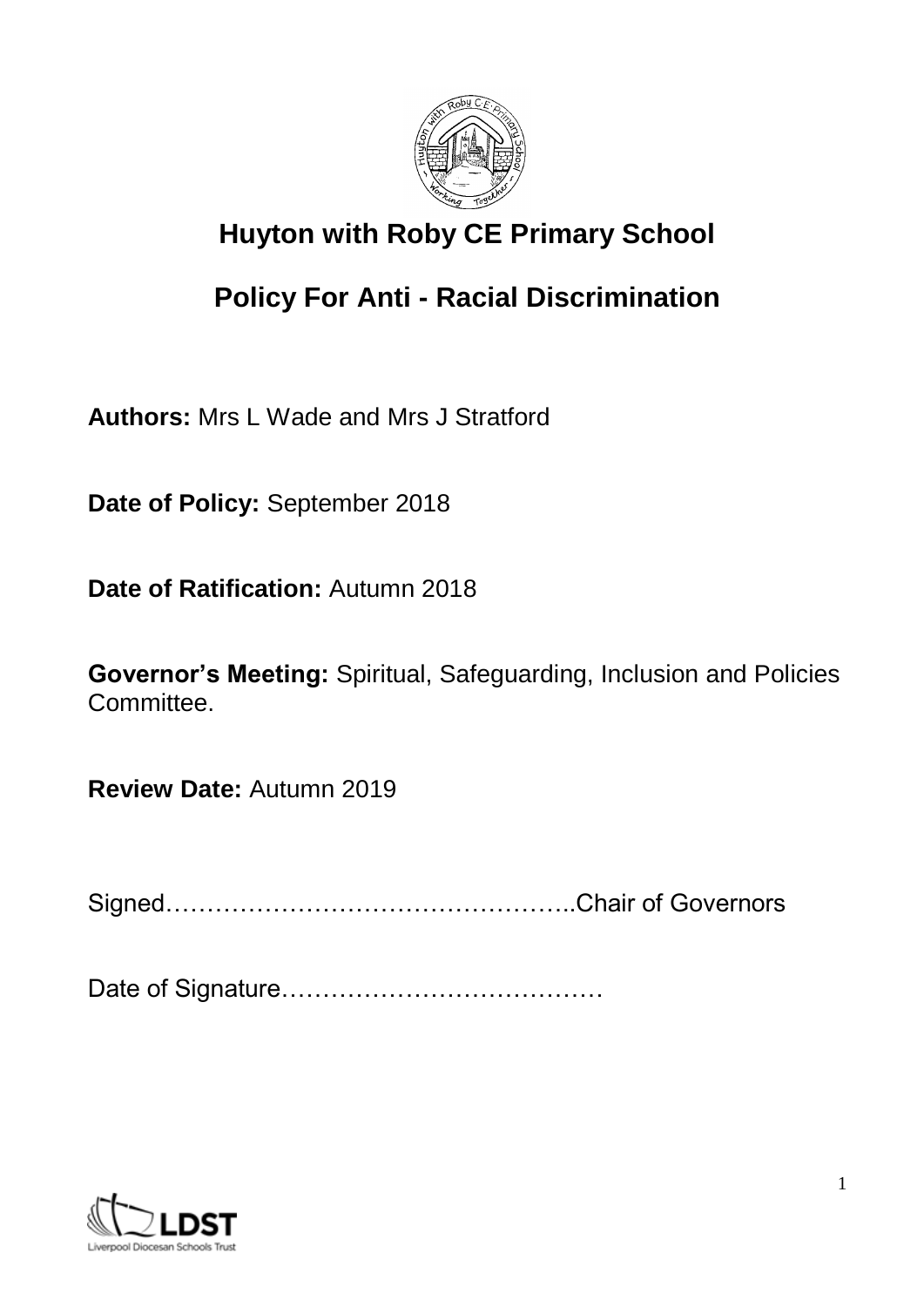

# **Huyton with Roby CE Primary School**

# **Policy For Anti - Racial Discrimination**

**Authors:** Mrs L Wade and Mrs J Stratford

**Date of Policy:** September 2018

**Date of Ratification:** Autumn 2018

**Governor's Meeting:** Spiritual, Safeguarding, Inclusion and Policies Committee.

**Review Date:** Autumn 2019

Signed…………………………………………..Chair of Governors

Date of Signature…………………………………

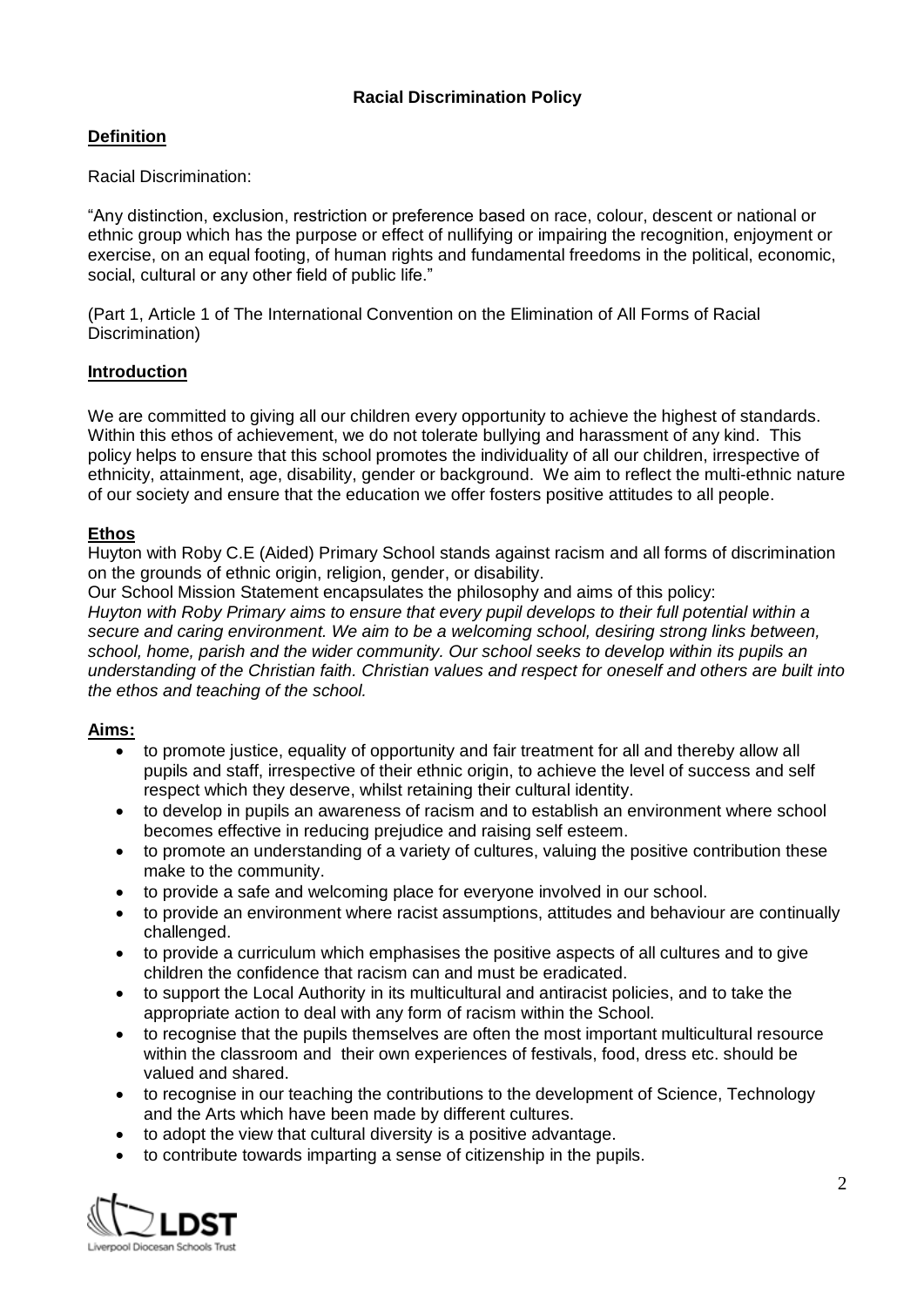## **Definition**

Racial Discrimination:

"Any distinction, exclusion, restriction or preference based on race, colour, descent or national or ethnic group which has the purpose or effect of nullifying or impairing the recognition, enjoyment or exercise, on an equal footing, of human rights and fundamental freedoms in the political, economic, social, cultural or any other field of public life."

(Part 1, Article 1 of The International Convention on the Elimination of All Forms of Racial Discrimination)

#### **Introduction**

We are committed to giving all our children every opportunity to achieve the highest of standards. Within this ethos of achievement, we do not tolerate bullying and harassment of any kind. This policy helps to ensure that this school promotes the individuality of all our children, irrespective of ethnicity, attainment, age, disability, gender or background. We aim to reflect the multi-ethnic nature of our society and ensure that the education we offer fosters positive attitudes to all people.

#### **Ethos**

Huyton with Roby C.E (Aided) Primary School stands against racism and all forms of discrimination on the grounds of ethnic origin, religion, gender, or disability.

Our School Mission Statement encapsulates the philosophy and aims of this policy: *Huyton with Roby Primary aims to ensure that every pupil develops to their full potential within a secure and caring environment. We aim to be a welcoming school, desiring strong links between, school, home, parish and the wider community. Our school seeks to develop within its pupils an understanding of the Christian faith. Christian values and respect for oneself and others are built into the ethos and teaching of the school.*

#### **Aims:**

- to promote justice, equality of opportunity and fair treatment for all and thereby allow all pupils and staff, irrespective of their ethnic origin, to achieve the level of success and self respect which they deserve, whilst retaining their cultural identity.
- to develop in pupils an awareness of racism and to establish an environment where school becomes effective in reducing prejudice and raising self esteem.
- to promote an understanding of a variety of cultures, valuing the positive contribution these make to the community.
- to provide a safe and welcoming place for everyone involved in our school.
- to provide an environment where racist assumptions, attitudes and behaviour are continually challenged.
- to provide a curriculum which emphasises the positive aspects of all cultures and to give children the confidence that racism can and must be eradicated.
- to support the Local Authority in its multicultural and antiracist policies, and to take the appropriate action to deal with any form of racism within the School.
- to recognise that the pupils themselves are often the most important multicultural resource within the classroom and their own experiences of festivals, food, dress etc. should be valued and shared.
- to recognise in our teaching the contributions to the development of Science, Technology and the Arts which have been made by different cultures.
- to adopt the view that cultural diversity is a positive advantage.
- to contribute towards imparting a sense of citizenship in the pupils.

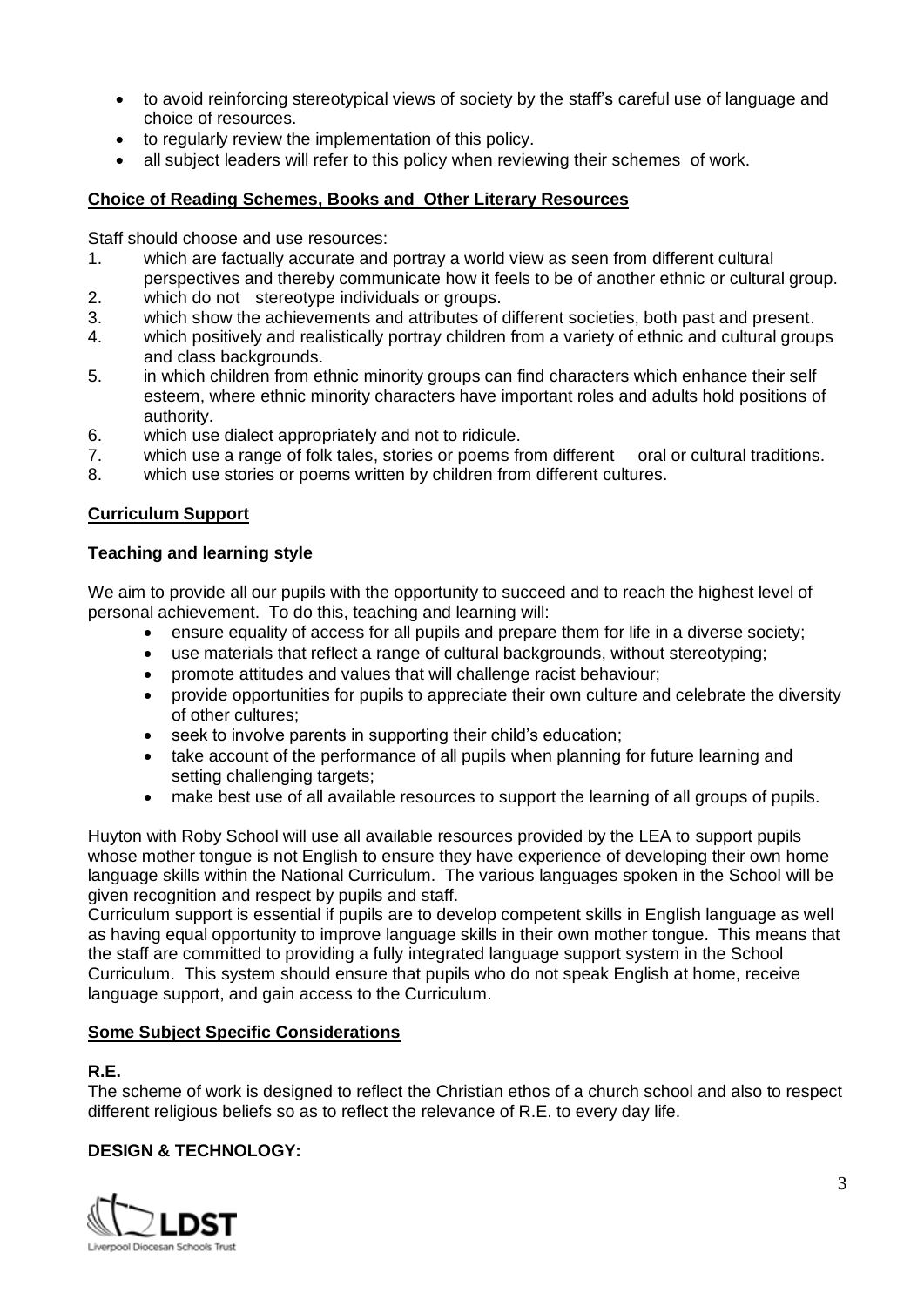- to avoid reinforcing stereotypical views of society by the staff's careful use of language and choice of resources.
- to regularly review the implementation of this policy.
- all subject leaders will refer to this policy when reviewing their schemes of work.

#### **Choice of Reading Schemes, Books and Other Literary Resources**

Staff should choose and use resources:

- 1. which are factually accurate and portray a world view as seen from different cultural perspectives and thereby communicate how it feels to be of another ethnic or cultural group.
- 2. which do not stereotype individuals or groups.
- 3. which show the achievements and attributes of different societies, both past and present.
- 4. which positively and realistically portray children from a variety of ethnic and cultural groups and class backgrounds.
- 5. in which children from ethnic minority groups can find characters which enhance their self esteem, where ethnic minority characters have important roles and adults hold positions of authority.
- 6. which use dialect appropriately and not to ridicule.
- 7. which use a range of folk tales, stories or poems from different oral or cultural traditions.
- 8. which use stories or poems written by children from different cultures.

## **Curriculum Support**

#### **Teaching and learning style**

We aim to provide all our pupils with the opportunity to succeed and to reach the highest level of personal achievement. To do this, teaching and learning will:

- ensure equality of access for all pupils and prepare them for life in a diverse society;
- use materials that reflect a range of cultural backgrounds, without stereotyping;
- promote attitudes and values that will challenge racist behaviour;
- provide opportunities for pupils to appreciate their own culture and celebrate the diversity of other cultures;
- seek to involve parents in supporting their child's education;
- take account of the performance of all pupils when planning for future learning and setting challenging targets;
- make best use of all available resources to support the learning of all groups of pupils.

Huyton with Roby School will use all available resources provided by the LEA to support pupils whose mother tongue is not English to ensure they have experience of developing their own home language skills within the National Curriculum. The various languages spoken in the School will be given recognition and respect by pupils and staff.

Curriculum support is essential if pupils are to develop competent skills in English language as well as having equal opportunity to improve language skills in their own mother tongue. This means that the staff are committed to providing a fully integrated language support system in the School Curriculum. This system should ensure that pupils who do not speak English at home, receive language support, and gain access to the Curriculum.

#### **Some Subject Specific Considerations**

#### **R.E.**

The scheme of work is designed to reflect the Christian ethos of a church school and also to respect different religious beliefs so as to reflect the relevance of R.E. to every day life.

# **DESIGN & TECHNOLOGY:**

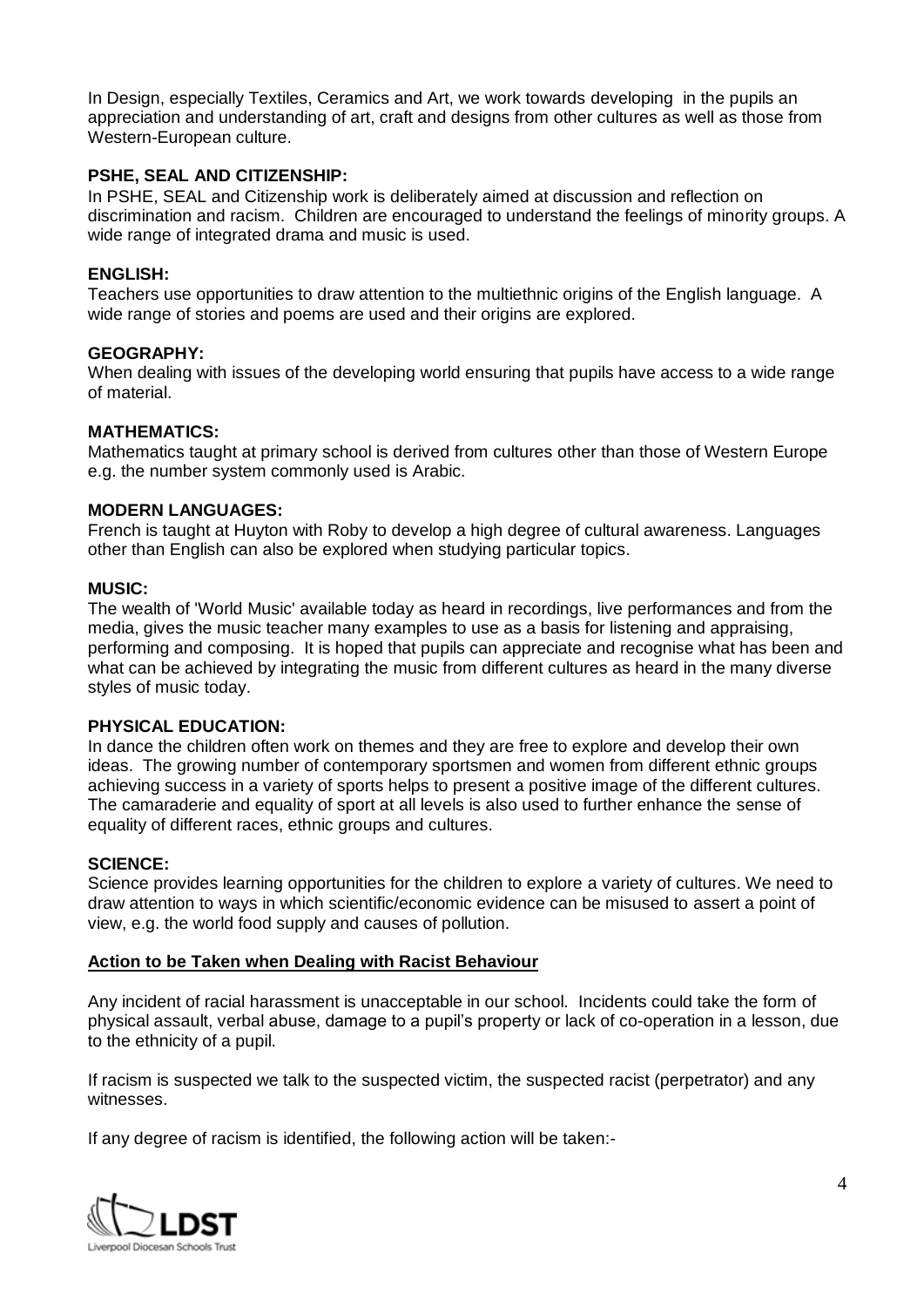In Design, especially Textiles, Ceramics and Art, we work towards developing in the pupils an appreciation and understanding of art, craft and designs from other cultures as well as those from Western-European culture.

#### **PSHE, SEAL AND CITIZENSHIP:**

In PSHE, SEAL and Citizenship work is deliberately aimed at discussion and reflection on discrimination and racism. Children are encouraged to understand the feelings of minority groups. A wide range of integrated drama and music is used.

#### **ENGLISH:**

Teachers use opportunities to draw attention to the multiethnic origins of the English language. A wide range of stories and poems are used and their origins are explored.

#### **GEOGRAPHY:**

When dealing with issues of the developing world ensuring that pupils have access to a wide range of material.

#### **MATHEMATICS:**

Mathematics taught at primary school is derived from cultures other than those of Western Europe e.g. the number system commonly used is Arabic.

#### **MODERN LANGUAGES:**

French is taught at Huyton with Roby to develop a high degree of cultural awareness. Languages other than English can also be explored when studying particular topics.

#### **MUSIC:**

The wealth of 'World Music' available today as heard in recordings, live performances and from the media, gives the music teacher many examples to use as a basis for listening and appraising, performing and composing. It is hoped that pupils can appreciate and recognise what has been and what can be achieved by integrating the music from different cultures as heard in the many diverse styles of music today.

#### **PHYSICAL EDUCATION:**

In dance the children often work on themes and they are free to explore and develop their own ideas. The growing number of contemporary sportsmen and women from different ethnic groups achieving success in a variety of sports helps to present a positive image of the different cultures. The camaraderie and equality of sport at all levels is also used to further enhance the sense of equality of different races, ethnic groups and cultures.

#### **SCIENCE:**

Science provides learning opportunities for the children to explore a variety of cultures. We need to draw attention to ways in which scientific/economic evidence can be misused to assert a point of view, e.g. the world food supply and causes of pollution.

#### **Action to be Taken when Dealing with Racist Behaviour**

Any incident of racial harassment is unacceptable in our school. Incidents could take the form of physical assault, verbal abuse, damage to a pupil's property or lack of co-operation in a lesson, due to the ethnicity of a pupil.

If racism is suspected we talk to the suspected victim, the suspected racist (perpetrator) and any witnesses.

If any degree of racism is identified, the following action will be taken:-